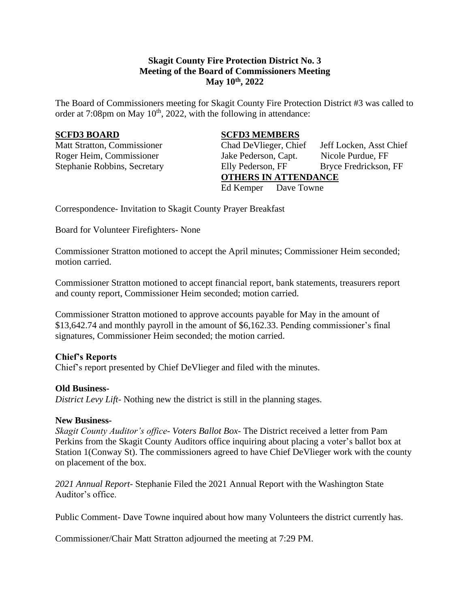# **Skagit County Fire Protection District No. 3 Meeting of the Board of Commissioners Meeting May 10th , 2022**

The Board of Commissioners meeting for Skagit County Fire Protection District #3 was called to order at  $7:08$ pm on May  $10<sup>th</sup>$ , 2022, with the following in attendance:

## **SCFD3 BOARD SCFD3 MEMBERS**

Matt Stratton, Commissioner Chad DeVlieger, Chief Jeff Locken, Asst Chief Roger Heim, Commissioner Jake Pederson, Capt. Nicole Purdue, FF Stephanie Robbins, Secretary Elly Pederson, FF Bryce Fredrickson, FF **OTHERS IN ATTENDANCE** Ed Kemper Dave Towne

Correspondence- Invitation to Skagit County Prayer Breakfast

Board for Volunteer Firefighters- None

Commissioner Stratton motioned to accept the April minutes; Commissioner Heim seconded; motion carried.

Commissioner Stratton motioned to accept financial report, bank statements, treasurers report and county report, Commissioner Heim seconded; motion carried.

Commissioner Stratton motioned to approve accounts payable for May in the amount of \$13,642.74 and monthly payroll in the amount of \$6,162.33. Pending commissioner's final signatures, Commissioner Heim seconded; the motion carried.

## **Chief's Reports**

Chief's report presented by Chief DeVlieger and filed with the minutes.

## **Old Business-**

*District Levy Lift*- Nothing new the district is still in the planning stages.

#### **New Business-**

*Skagit County Auditor's office- Voters Ballot Box-* The District received a letter from Pam Perkins from the Skagit County Auditors office inquiring about placing a voter's ballot box at Station 1(Conway St). The commissioners agreed to have Chief DeVlieger work with the county on placement of the box.

*2021 Annual Report-* Stephanie Filed the 2021 Annual Report with the Washington State Auditor's office.

Public Comment- Dave Towne inquired about how many Volunteers the district currently has.

Commissioner/Chair Matt Stratton adjourned the meeting at 7:29 PM.